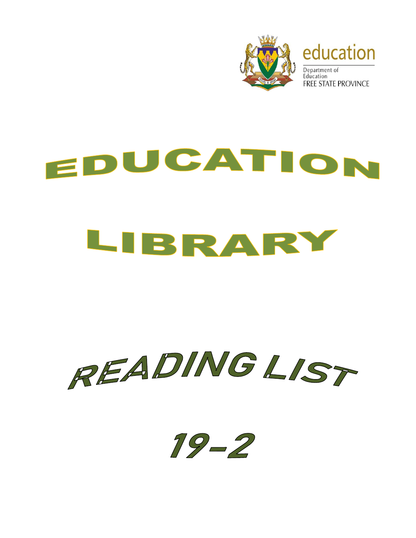

## EDUCATION LIBRARY



 $19 - 2$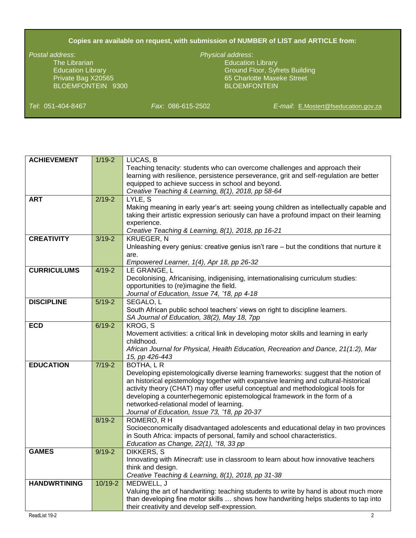## **Copies are available on request, with submission of NUMBER of LIST and ARTICLE from:**

The Librarian Education Library Company and Company Education Library BLOEMFONTEIN 9300

## *Postal address*: *Physical address*:

Education Library Ground Floor, Syfrets Building Private Bag X20565 65 Charlotte Maxeke Street

*Tel*: 051-404-8467 *Fax*: 086-615-2502 *E-mail*: [E.Mostert@fseducation.gov.za](mailto:E.Mostert@fseducation.gov.za)

| <b>ACHIEVEMENT</b>  | $1/19 - 2$ | LUCAS, B                                                                                 |
|---------------------|------------|------------------------------------------------------------------------------------------|
|                     |            | Teaching tenacity: students who can overcome challenges and approach their               |
|                     |            | learning with resilience, persistence perseverance, grit and self-regulation are better  |
|                     |            | equipped to achieve success in school and beyond.                                        |
|                     |            | Creative Teaching & Learning, 8(1), 2018, pp 58-64                                       |
| <b>ART</b>          | $2/19 - 2$ | LYLE, S                                                                                  |
|                     |            | Making meaning in early year's art: seeing young children as intellectually capable and  |
|                     |            | taking their artistic expression seriously can have a profound impact on their learning  |
|                     |            | experience.                                                                              |
|                     |            | Creative Teaching & Learning, 8(1), 2018, pp 16-21                                       |
| <b>CREATIVITY</b>   | $3/19 - 2$ | <b>KRUEGER, N</b>                                                                        |
|                     |            |                                                                                          |
|                     |            | Unleashing every genius: creative genius isn't rare - but the conditions that nurture it |
|                     |            | are.                                                                                     |
|                     |            | Empowered Learner, 1(4), Apr 18, pp 26-32                                                |
| <b>CURRICULUMS</b>  | $4/19 - 2$ | LE GRANGE, L                                                                             |
|                     |            | Decolonising, Africanising, indigenising, internationalising curriculum studies:         |
|                     |            | opportunities to (re)imagine the field.                                                  |
|                     |            | Journal of Education, Issue 74, '18, pp 4-18                                             |
| <b>DISCIPLINE</b>   | $5/19-2$   | SEGALO, L                                                                                |
|                     |            | South African public school teachers' views on right to discipline learners.             |
|                     |            | SA Journal of Education, 38(2), May 18, 7pp                                              |
| <b>ECD</b>          | $6/19-2$   | KROG, S                                                                                  |
|                     |            | Movement activities: a critical link in developing motor skills and learning in early    |
|                     |            | childhood.                                                                               |
|                     |            | African Journal for Physical, Health Education, Recreation and Dance, 21(1:2), Mar       |
|                     |            | 15, pp 426-443                                                                           |
| <b>EDUCATION</b>    | $7/19-2$   | BOTHA, L R                                                                               |
|                     |            | Developing epistemologically diverse learning frameworks: suggest that the notion of     |
|                     |            | an historical epistemology together with expansive learning and cultural-historical      |
|                     |            | activity theory (CHAT) may offer useful conceptual and methodological tools for          |
|                     |            | developing a counterhegemonic epistemological framework in the form of a                 |
|                     |            | networked-relational model of learning.                                                  |
|                     |            | Journal of Education, Issue 73, '18, pp 20-37                                            |
|                     | $8/19 - 2$ | ROMERO, R H                                                                              |
|                     |            | Socioeconomically disadvantaged adolescents and educational delay in two provinces       |
|                     |            | in South Africa: impacts of personal, family and school characteristics.                 |
|                     |            | Education as Change, 22(1), '18, 33 pp                                                   |
| <b>GAMES</b>        | $9/19 - 2$ | <b>DIKKERS, S</b>                                                                        |
|                     |            | Innovating with Minecraft. use in classroom to learn about how innovative teachers       |
|                     |            | think and design.                                                                        |
|                     |            | Creative Teaching & Learning, 8(1), 2018, pp 31-38                                       |
| <b>HANDWRTINING</b> | $10/19-2$  | MEDWELL, J                                                                               |
|                     |            |                                                                                          |
|                     |            | Valuing the art of handwriting: teaching students to write by hand is about much more    |
|                     |            | than developing fine motor skills  shows how handwriting helps students to tap into      |
|                     |            | their creativity and develop self-expression.                                            |
| ReadList 19-2       |            | $2^{\circ}$                                                                              |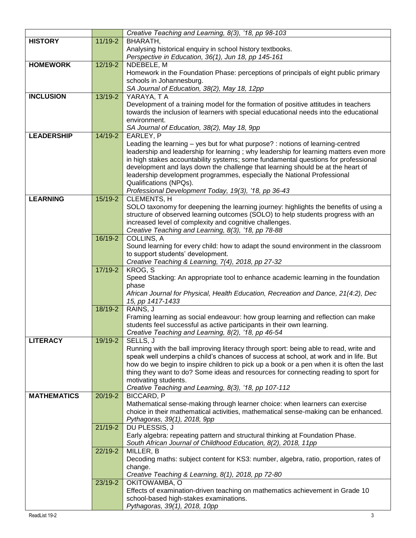|                    |           | Creative Teaching and Learning, 8(3), '18, pp 98-103                                                                                                                        |
|--------------------|-----------|-----------------------------------------------------------------------------------------------------------------------------------------------------------------------------|
| <b>HISTORY</b>     | $11/19-2$ | BHARATH,                                                                                                                                                                    |
|                    |           | Analysing historical enquiry in school history textbooks.                                                                                                                   |
|                    |           | Perspective in Education, 36(1), Jun 18, pp 145-161                                                                                                                         |
| <b>HOMEWORK</b>    | 12/19-2   | NDEBELE, M                                                                                                                                                                  |
|                    |           | Homework in the Foundation Phase: perceptions of principals of eight public primary                                                                                         |
|                    |           | schools in Johannesburg.                                                                                                                                                    |
|                    |           | SA Journal of Education, 38(2), May 18, 12pp                                                                                                                                |
| <b>INCLUSION</b>   | 13/19-2   | YARAYA, TA                                                                                                                                                                  |
|                    |           | Development of a training model for the formation of positive attitudes in teachers                                                                                         |
|                    |           | towards the inclusion of learners with special educational needs into the educational                                                                                       |
|                    |           | environment.                                                                                                                                                                |
|                    |           | SA Journal of Education, 38(2), May 18, 9pp                                                                                                                                 |
| <b>LEADERSHIP</b>  | 14/19-2   | EARLEY, P                                                                                                                                                                   |
|                    |           | Leading the learning – yes but for what purpose? : notions of learning-centred                                                                                              |
|                    |           | leadership and leadership for learning; why leadership for learning matters even more<br>in high stakes accountability systems; some fundamental questions for professional |
|                    |           | development and lays down the challenge that learning should be at the heart of                                                                                             |
|                    |           | leadership development programmes, especially the National Professional                                                                                                     |
|                    |           | Qualifications (NPQs).                                                                                                                                                      |
|                    |           | Professional Development Today, 19(3), '18, pp 36-43                                                                                                                        |
| <b>LEARNING</b>    | 15/19-2   | CLEMENTS, H                                                                                                                                                                 |
|                    |           | SOLO taxonomy for deepening the learning journey: highlights the benefits of using a                                                                                        |
|                    |           | structure of observed learning outcomes (SOLO) to help students progress with an                                                                                            |
|                    |           | increased level of complexity and cognitive challenges.                                                                                                                     |
|                    |           | Creative Teaching and Learning, 8(3), '18, pp 78-88                                                                                                                         |
|                    | 16/19-2   | COLLINS, A                                                                                                                                                                  |
|                    |           | Sound learning for every child: how to adapt the sound environment in the classroom                                                                                         |
|                    |           | to support students' development.                                                                                                                                           |
|                    |           | Creative Teaching & Learning, 7(4), 2018, pp 27-32                                                                                                                          |
|                    | 17/19-2   | KROG, S                                                                                                                                                                     |
|                    |           | Speed Stacking: An appropriate tool to enhance academic learning in the foundation<br>phase                                                                                 |
|                    |           | African Journal for Physical, Health Education, Recreation and Dance, 21(4:2), Dec                                                                                          |
|                    |           | 15, pp 1417-1433                                                                                                                                                            |
|                    | 18/19-2   | RAINS, J                                                                                                                                                                    |
|                    |           | Framing learning as social endeavour: how group learning and reflection can make                                                                                            |
|                    |           | students feel successful as active participants in their own learning.                                                                                                      |
|                    |           | Creative Teaching and Learning, 8(2), '18, pp 46-54                                                                                                                         |
| <b>LITERACY</b>    | 19/19-2   | SELLS, J                                                                                                                                                                    |
|                    |           | Running with the ball improving literacy through sport: being able to read, write and                                                                                       |
|                    |           | speak well underpins a child's chances of success at school, at work and in life. But                                                                                       |
|                    |           | how do we begin to inspire children to pick up a book or a pen when it is often the last                                                                                    |
|                    |           | thing they want to do? Some ideas and resources for connecting reading to sport for                                                                                         |
|                    |           | motivating students.                                                                                                                                                        |
| <b>MATHEMATICS</b> | 20/19-2   | Creative Teaching and Learning, 8(3), '18, pp 107-112<br><b>BICCARD, P</b>                                                                                                  |
|                    |           | Mathematical sense-making through learner choice: when learners can exercise                                                                                                |
|                    |           | choice in their mathematical activities, mathematical sense-making can be enhanced.                                                                                         |
|                    |           | Pythagoras, 39(1), 2018, 9pp                                                                                                                                                |
|                    | 21/19-2   | DU PLESSIS, J                                                                                                                                                               |
|                    |           | Early algebra: repeating pattern and structural thinking at Foundation Phase.                                                                                               |
|                    |           | South African Journal of Childhood Education, 8(2), 2018, 11pp                                                                                                              |
|                    | 22/19-2   | MILLER, B                                                                                                                                                                   |
|                    |           | Decoding maths: subject content for KS3: number, algebra, ratio, proportion, rates of                                                                                       |
|                    |           | change.                                                                                                                                                                     |
|                    |           | Creative Teaching & Learning, 8(1), 2018, pp 72-80                                                                                                                          |
|                    | 23/19-2   | OKITOWAMBA, O                                                                                                                                                               |
|                    |           | Effects of examination-driven teaching on mathematics achievement in Grade 10                                                                                               |
|                    |           | school-based high-stakes examinations.                                                                                                                                      |
|                    |           | Pythagoras, 39(1), 2018, 10pp                                                                                                                                               |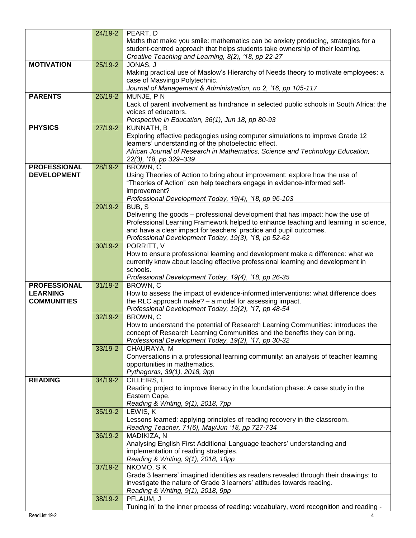|                     | 24/19-2     | PEART, D                                                                                                        |
|---------------------|-------------|-----------------------------------------------------------------------------------------------------------------|
|                     |             | Maths that make you smile: mathematics can be anxiety producing, strategies for a                               |
|                     |             | student-centred approach that helps students take ownership of their learning.                                  |
|                     |             | Creative Teaching and Learning, 8(2), '18, pp 22-27                                                             |
| <b>MOTIVATION</b>   | $25/19-2$   | JONAS, J                                                                                                        |
|                     |             | Making practical use of Maslow's Hierarchy of Needs theory to motivate employees: a                             |
|                     |             | case of Masvingo Polytechnic.                                                                                   |
|                     |             | Journal of Management & Administration, no 2, '16, pp 105-117                                                   |
| <b>PARENTS</b>      | 26/19-2     | MUNJE, PN                                                                                                       |
|                     |             |                                                                                                                 |
|                     |             | Lack of parent involvement as hindrance in selected public schools in South Africa: the<br>voices of educators. |
|                     |             |                                                                                                                 |
| <b>PHYSICS</b>      |             | Perspective in Education, 36(1), Jun 18, pp 80-93                                                               |
|                     | $27/19-2$   | KUNNATH, B                                                                                                      |
|                     |             | Exploring effective pedagogies using computer simulations to improve Grade 12                                   |
|                     |             | learners' understanding of the photoelectric effect.                                                            |
|                     |             | African Journal of Research in Mathematics, Science and Technology Education,                                   |
|                     |             | 22(3), '18, pp 329-339                                                                                          |
| <b>PROFESSIONAL</b> | 28/19-2     | BROWN, C                                                                                                        |
| <b>DEVELOPMENT</b>  |             | Using Theories of Action to bring about improvement: explore how the use of                                     |
|                     |             | "Theories of Action" can help teachers engage in evidence-informed self-                                        |
|                     |             | improvement?                                                                                                    |
|                     |             | Professional Development Today, 19(4), '18, pp 96-103                                                           |
|                     | $29/19-2$   | BUB, S                                                                                                          |
|                     |             | Delivering the goods - professional development that has impact: how the use of                                 |
|                     |             | Professional Learning Framework helped to enhance teaching and learning in science,                             |
|                     |             | and have a clear impact for teachers' practice and pupil outcomes.                                              |
|                     |             | Professional Development Today, 19(3), '18, pp 52-62                                                            |
|                     | 30/19-2     | PORRITT, V                                                                                                      |
|                     |             | How to ensure professional learning and development make a difference: what we                                  |
|                     |             | currently know about leading effective professional learning and development in                                 |
|                     |             | schools.                                                                                                        |
|                     |             | Professional Development Today, 19(4), '18, pp 26-35                                                            |
| <b>PROFESSIONAL</b> | $31/19 - 2$ | BROWN, C                                                                                                        |
| <b>LEARNING</b>     |             | How to assess the impact of evidence-informed interventions: what difference does                               |
| <b>COMMUNITIES</b>  |             | the RLC approach make? - a model for assessing impact.                                                          |
|                     |             | Professional Development Today, 19(2), '17, pp 48-54                                                            |
|                     | 32/19-2     | BROWN, C                                                                                                        |
|                     |             | How to understand the potential of Research Learning Communities: introduces the                                |
|                     |             | concept of Research Learning Communities and the benefits they can bring.                                       |
|                     |             | Professional Development Today, 19(2), '17, pp 30-32                                                            |
|                     | 33/19-2     | CHAURAYA, M                                                                                                     |
|                     |             | Conversations in a professional learning community: an analysis of teacher learning                             |
|                     |             | opportunities in mathematics.                                                                                   |
|                     |             | Pythagoras, 39(1), 2018, 9pp                                                                                    |
| <b>READING</b>      | $34/19 - 2$ | CILLEIRS, L                                                                                                     |
|                     |             | Reading project to improve literacy in the foundation phase: A case study in the                                |
|                     |             | Eastern Cape.                                                                                                   |
|                     |             | Reading & Writing, 9(1), 2018, 7pp                                                                              |
|                     | 35/19-2     | LEWIS, K                                                                                                        |
|                     |             | Lessons learned: applying principles of reading recovery in the classroom.                                      |
|                     |             | Reading Teacher, 71(6), May/Jun '18, pp 727-734                                                                 |
|                     | 36/19-2     | MADIKIZA, N                                                                                                     |
|                     |             | Analysing English First Additional Language teachers' understanding and                                         |
|                     |             | implementation of reading strategies.                                                                           |
|                     |             | Reading & Writing, 9(1), 2018, 10pp                                                                             |
|                     | 37/19-2     | NKOMO, SK                                                                                                       |
|                     |             | Grade 3 learners' imagined identities as readers revealed through their drawings: to                            |
|                     |             | investigate the nature of Grade 3 learners' attitudes towards reading.                                          |
|                     |             | Reading & Writing, 9(1), 2018, 9pp                                                                              |
|                     | 38/19-2     | PFLAUM, J                                                                                                       |
|                     |             | Tuning in' to the inner process of reading: vocabulary, word recognition and reading -                          |